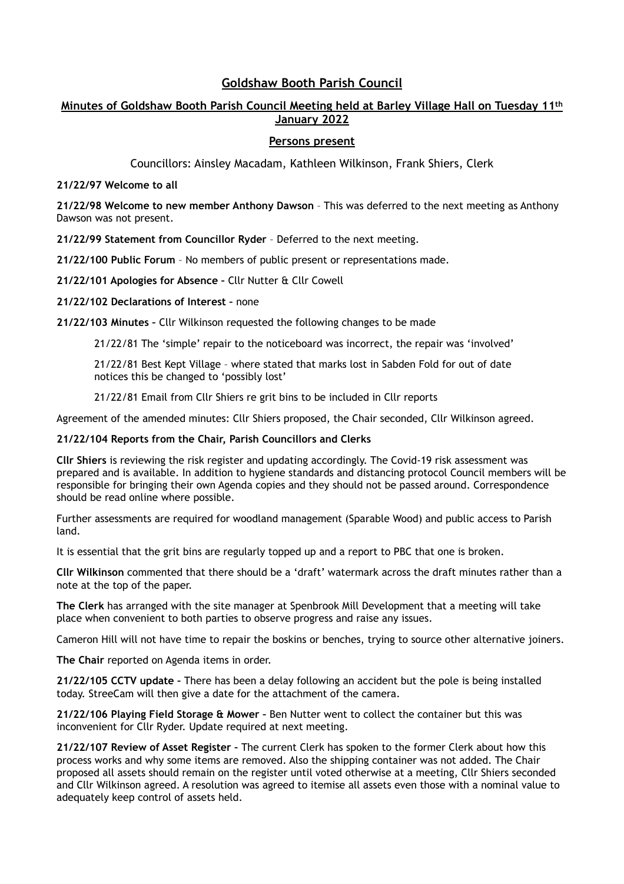## **Goldshaw Booth Parish Council**

# **Minutes of Goldshaw Booth Parish Council Meeting held at Barley Village Hall on Tuesday 11th January 2022**

### **Persons present**

Councillors: Ainsley Macadam, Kathleen Wilkinson, Frank Shiers, Clerk

**21/22/97 Welcome to all**

**21/22/98 Welcome to new member Anthony Dawson** – This was deferred to the next meeting as Anthony Dawson was not present.

**21/22/99 Statement from Councillor Ryder** – Deferred to the next meeting.

**21/22/100 Public Forum** – No members of public present or representations made.

**21/22/101 Apologies for Absence –** Cllr Nutter & Cllr Cowell

**21/22/102 Declarations of Interest –** none

**21/22/103 Minutes –** Cllr Wilkinson requested the following changes to be made

21/22/81 The 'simple' repair to the noticeboard was incorrect, the repair was 'involved'

21/22/81 Best Kept Village – where stated that marks lost in Sabden Fold for out of date notices this be changed to 'possibly lost'

21/22/81 Email from Cllr Shiers re grit bins to be included in Cllr reports

Agreement of the amended minutes: Cllr Shiers proposed, the Chair seconded, Cllr Wilkinson agreed.

### **21/22/104 Reports from the Chair, Parish Councillors and Clerks**

**Cllr Shiers** is reviewing the risk register and updating accordingly. The Covid-19 risk assessment was prepared and is available. In addition to hygiene standards and distancing protocol Council members will be responsible for bringing their own Agenda copies and they should not be passed around. Correspondence should be read online where possible.

Further assessments are required for woodland management (Sparable Wood) and public access to Parish land.

It is essential that the grit bins are regularly topped up and a report to PBC that one is broken.

**Cllr Wilkinson** commented that there should be a 'draft' watermark across the draft minutes rather than a note at the top of the paper.

**The Clerk** has arranged with the site manager at Spenbrook Mill Development that a meeting will take place when convenient to both parties to observe progress and raise any issues.

Cameron Hill will not have time to repair the boskins or benches, trying to source other alternative joiners.

**The Chair** reported on Agenda items in order.

**21/22/105 CCTV update –** There has been a delay following an accident but the pole is being installed today. StreeCam will then give a date for the attachment of the camera.

**21/22/106 Playing Field Storage & Mower –** Ben Nutter went to collect the container but this was inconvenient for Cllr Ryder. Update required at next meeting.

**21/22/107 Review of Asset Register –** The current Clerk has spoken to the former Clerk about how this process works and why some items are removed. Also the shipping container was not added. The Chair proposed all assets should remain on the register until voted otherwise at a meeting, Cllr Shiers seconded and Cllr Wilkinson agreed. A resolution was agreed to itemise all assets even those with a nominal value to adequately keep control of assets held.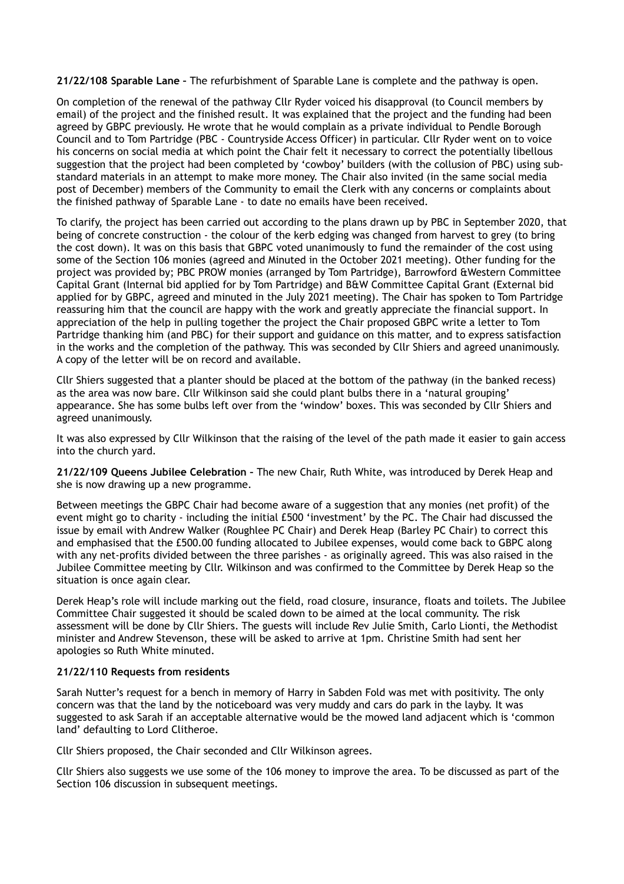**21/22/108 Sparable Lane –** The refurbishment of Sparable Lane is complete and the pathway is open.

On completion of the renewal of the pathway Cllr Ryder voiced his disapproval (to Council members by email) of the project and the finished result. It was explained that the project and the funding had been agreed by GBPC previously. He wrote that he would complain as a private individual to Pendle Borough Council and to Tom Partridge (PBC - Countryside Access Officer) in particular. Cllr Ryder went on to voice his concerns on social media at which point the Chair felt it necessary to correct the potentially libellous suggestion that the project had been completed by 'cowboy' builders (with the collusion of PBC) using substandard materials in an attempt to make more money. The Chair also invited (in the same social media post of December) members of the Community to email the Clerk with any concerns or complaints about the finished pathway of Sparable Lane - to date no emails have been received.

To clarify, the project has been carried out according to the plans drawn up by PBC in September 2020, that being of concrete construction - the colour of the kerb edging was changed from harvest to grey (to bring the cost down). It was on this basis that GBPC voted unanimously to fund the remainder of the cost using some of the Section 106 monies (agreed and Minuted in the October 2021 meeting). Other funding for the project was provided by; PBC PROW monies (arranged by Tom Partridge), Barrowford &Western Committee Capital Grant (Internal bid applied for by Tom Partridge) and B&W Committee Capital Grant (External bid applied for by GBPC, agreed and minuted in the July 2021 meeting). The Chair has spoken to Tom Partridge reassuring him that the council are happy with the work and greatly appreciate the financial support. In appreciation of the help in pulling together the project the Chair proposed GBPC write a letter to Tom Partridge thanking him (and PBC) for their support and guidance on this matter, and to express satisfaction in the works and the completion of the pathway. This was seconded by Cllr Shiers and agreed unanimously. A copy of the letter will be on record and available.

Cllr Shiers suggested that a planter should be placed at the bottom of the pathway (in the banked recess) as the area was now bare. Cllr Wilkinson said she could plant bulbs there in a 'natural grouping' appearance. She has some bulbs left over from the 'window' boxes. This was seconded by Cllr Shiers and agreed unanimously.

It was also expressed by Cllr Wilkinson that the raising of the level of the path made it easier to gain access into the church yard.

**21/22/109 Queens Jubilee Celebration –** The new Chair, Ruth White, was introduced by Derek Heap and she is now drawing up a new programme.

Between meetings the GBPC Chair had become aware of a suggestion that any monies (net profit) of the event might go to charity - including the initial £500 'investment' by the PC. The Chair had discussed the issue by email with Andrew Walker (Roughlee PC Chair) and Derek Heap (Barley PC Chair) to correct this and emphasised that the £500.00 funding allocated to Jubilee expenses, would come back to GBPC along with any net-profits divided between the three parishes - as originally agreed. This was also raised in the Jubilee Committee meeting by Cllr. Wilkinson and was confirmed to the Committee by Derek Heap so the situation is once again clear.

Derek Heap's role will include marking out the field, road closure, insurance, floats and toilets. The Jubilee Committee Chair suggested it should be scaled down to be aimed at the local community. The risk assessment will be done by Cllr Shiers. The guests will include Rev Julie Smith, Carlo Lionti, the Methodist minister and Andrew Stevenson, these will be asked to arrive at 1pm. Christine Smith had sent her apologies so Ruth White minuted.

#### **21/22/110 Requests from residents**

Sarah Nutter's request for a bench in memory of Harry in Sabden Fold was met with positivity. The only concern was that the land by the noticeboard was very muddy and cars do park in the layby. It was suggested to ask Sarah if an acceptable alternative would be the mowed land adjacent which is 'common land' defaulting to Lord Clitheroe.

Cllr Shiers proposed, the Chair seconded and Cllr Wilkinson agrees.

Cllr Shiers also suggests we use some of the 106 money to improve the area. To be discussed as part of the Section 106 discussion in subsequent meetings.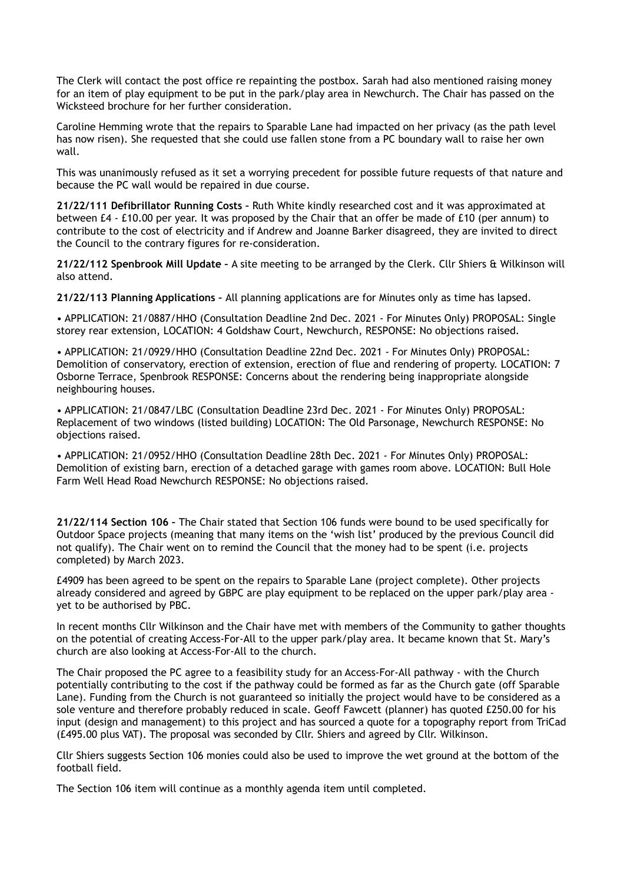The Clerk will contact the post office re repainting the postbox. Sarah had also mentioned raising money for an item of play equipment to be put in the park/play area in Newchurch. The Chair has passed on the Wicksteed brochure for her further consideration.

Caroline Hemming wrote that the repairs to Sparable Lane had impacted on her privacy (as the path level has now risen). She requested that she could use fallen stone from a PC boundary wall to raise her own wall.

This was unanimously refused as it set a worrying precedent for possible future requests of that nature and because the PC wall would be repaired in due course.

**21/22/111 Defibrillator Running Costs –** Ruth White kindly researched cost and it was approximated at between £4 - £10.00 per year. It was proposed by the Chair that an offer be made of £10 (per annum) to contribute to the cost of electricity and if Andrew and Joanne Barker disagreed, they are invited to direct the Council to the contrary figures for re-consideration.

**21/22/112 Spenbrook Mill Update –** A site meeting to be arranged by the Clerk. Cllr Shiers & Wilkinson will also attend.

**21/22/113 Planning Applications –** All planning applications are for Minutes only as time has lapsed.

• APPLICATION: 21/0887/HHO (Consultation Deadline 2nd Dec. 2021 - For Minutes Only) PROPOSAL: Single storey rear extension, LOCATION: 4 Goldshaw Court, Newchurch, RESPONSE: No objections raised.

• APPLICATION: 21/0929/HHO (Consultation Deadline 22nd Dec. 2021 - For Minutes Only) PROPOSAL: Demolition of conservatory, erection of extension, erection of flue and rendering of property. LOCATION: 7 Osborne Terrace, Spenbrook RESPONSE: Concerns about the rendering being inappropriate alongside neighbouring houses.

• APPLICATION: 21/0847/LBC (Consultation Deadline 23rd Dec. 2021 - For Minutes Only) PROPOSAL: Replacement of two windows (listed building) LOCATION: The Old Parsonage, Newchurch RESPONSE: No objections raised.

• APPLICATION: 21/0952/HHO (Consultation Deadline 28th Dec. 2021 - For Minutes Only) PROPOSAL: Demolition of existing barn, erection of a detached garage with games room above. LOCATION: Bull Hole Farm Well Head Road Newchurch RESPONSE: No objections raised.

**21/22/114 Section 106 –** The Chair stated that Section 106 funds were bound to be used specifically for Outdoor Space projects (meaning that many items on the 'wish list' produced by the previous Council did not qualify). The Chair went on to remind the Council that the money had to be spent (i.e. projects completed) by March 2023.

£4909 has been agreed to be spent on the repairs to Sparable Lane (project complete). Other projects already considered and agreed by GBPC are play equipment to be replaced on the upper park/play area yet to be authorised by PBC.

In recent months Cllr Wilkinson and the Chair have met with members of the Community to gather thoughts on the potential of creating Access-For-All to the upper park/play area. It became known that St. Mary's church are also looking at Access-For-All to the church.

The Chair proposed the PC agree to a feasibility study for an Access-For-All pathway - with the Church potentially contributing to the cost if the pathway could be formed as far as the Church gate (off Sparable Lane). Funding from the Church is not guaranteed so initially the project would have to be considered as a sole venture and therefore probably reduced in scale. Geoff Fawcett (planner) has quoted £250.00 for his input (design and management) to this project and has sourced a quote for a topography report from TriCad (£495.00 plus VAT). The proposal was seconded by Cllr. Shiers and agreed by Cllr. Wilkinson.

Cllr Shiers suggests Section 106 monies could also be used to improve the wet ground at the bottom of the football field.

The Section 106 item will continue as a monthly agenda item until completed.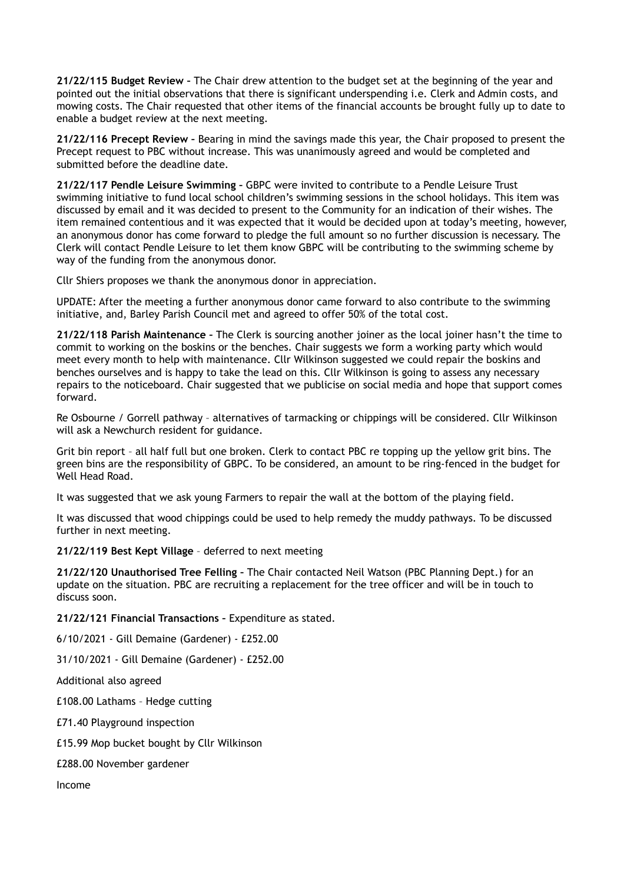**21/22/115 Budget Review –** The Chair drew attention to the budget set at the beginning of the year and pointed out the initial observations that there is significant underspending i.e. Clerk and Admin costs, and mowing costs. The Chair requested that other items of the financial accounts be brought fully up to date to enable a budget review at the next meeting.

**21/22/116 Precept Review –** Bearing in mind the savings made this year, the Chair proposed to present the Precept request to PBC without increase. This was unanimously agreed and would be completed and submitted before the deadline date.

**21/22/117 Pendle Leisure Swimming –** GBPC were invited to contribute to a Pendle Leisure Trust swimming initiative to fund local school children's swimming sessions in the school holidays. This item was discussed by email and it was decided to present to the Community for an indication of their wishes. The item remained contentious and it was expected that it would be decided upon at today's meeting, however, an anonymous donor has come forward to pledge the full amount so no further discussion is necessary. The Clerk will contact Pendle Leisure to let them know GBPC will be contributing to the swimming scheme by way of the funding from the anonymous donor.

Cllr Shiers proposes we thank the anonymous donor in appreciation.

UPDATE: After the meeting a further anonymous donor came forward to also contribute to the swimming initiative, and, Barley Parish Council met and agreed to offer 50% of the total cost.

**21/22/118 Parish Maintenance –** The Clerk is sourcing another joiner as the local joiner hasn't the time to commit to working on the boskins or the benches. Chair suggests we form a working party which would meet every month to help with maintenance. Cllr Wilkinson suggested we could repair the boskins and benches ourselves and is happy to take the lead on this. Cllr Wilkinson is going to assess any necessary repairs to the noticeboard. Chair suggested that we publicise on social media and hope that support comes forward.

Re Osbourne / Gorrell pathway – alternatives of tarmacking or chippings will be considered. Cllr Wilkinson will ask a Newchurch resident for guidance.

Grit bin report – all half full but one broken. Clerk to contact PBC re topping up the yellow grit bins. The green bins are the responsibility of GBPC. To be considered, an amount to be ring-fenced in the budget for Well Head Road.

It was suggested that we ask young Farmers to repair the wall at the bottom of the playing field.

It was discussed that wood chippings could be used to help remedy the muddy pathways. To be discussed further in next meeting.

**21/22/119 Best Kept Village** – deferred to next meeting

**21/22/120 Unauthorised Tree Felling –** The Chair contacted Neil Watson (PBC Planning Dept.) for an update on the situation. PBC are recruiting a replacement for the tree officer and will be in touch to discuss soon.

**21/22/121 Financial Transactions –** Expenditure as stated.

6/10/2021 - Gill Demaine (Gardener) - £252.00

31/10/2021 - Gill Demaine (Gardener) - £252.00

Additional also agreed

£108.00 Lathams – Hedge cutting

£71.40 Playground inspection

£15.99 Mop bucket bought by Cllr Wilkinson

£288.00 November gardener

Income